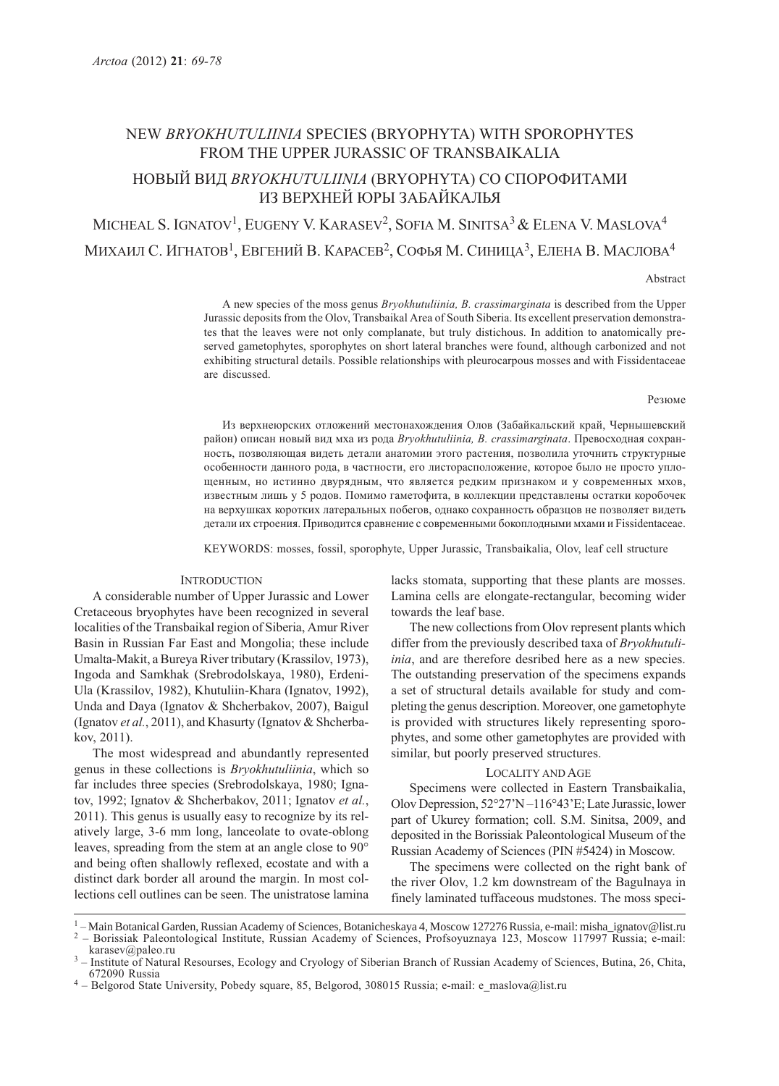# NEW BRYOKHUTULIINIA SPECIES (BRYOPHYTA) WITH SPOROPHYTES FROM THE UPPER JURASSIC OF TRANSBAIKALIA

# НОВЫЙ ВИД BRYOKHUTULIINIA (BRYOPHYTA) СО СПОРОФИТАМИ ИЗ ВЕРХНЕЙ ЮРЫ ЗАБАЙКАЛЬЯ

MICHEAL S. IGNATOV<sup>1</sup>, EUGENY V. KARASEV<sup>2</sup>, SOFIA M. SINITSA<sup>3</sup> & ELENA V. MASLOVA<sup>4</sup> МИХАИЛ С. ИГНАТОВ<sup>1</sup>, ЕВГЕНИЙ В. КАРАСЕВ<sup>2</sup>, СОФЬЯ М. СИНИЦА<sup>3</sup>, ЕЛЕНА В. МАСЛОВА<sup>4</sup>

Abstract

A new species of the moss genus Bryokhutuliinia, B. crassimarginata is described from the Upper Jurassic deposits from the Olov, Transbaikal Area of South Siberia. Its excellent preservation demonstrates that the leaves were not only complanate, but truly distichous. In addition to anatomically preserved gametophytes, sporophytes on short lateral branches were found, although carbonized and not exhibiting structural details. Possible relationships with pleurocarpous mosses and with Fissidentaceae are discussed.

#### Резюме

Из верхнеюрских отложений местонахождения Олов (Забайкальский край, Чернышевский район) описан новый вид мха из рода Bryokhutuliinia, B. crassimarginata. Превосходная сохранность, позволяющая видеть детали анатомии этого растения, позволила уточнить структурные особенности данного рода, в частности, его листорасположение, которое было не просто уплощенным, но истинно двурядным, что является редким признаком и у современных мхов, известным лишь у 5 родов. Помимо гаметофита, в коллекции представлены остатки коробочек на верхушках коротких латеральных побегов, однако сохранность образцов не позволяет видеть детали их строения. Приводится сравнение с современными бокоплодными мхами и Fissidentaceae.

KEYWORDS: mosses, fossil, sporophyte, Upper Jurassic, Transbaikalia, Olov, leaf cell structure

## **INTRODUCTION**

A considerable number of Upper Jurassic and Lower Cretaceous bryophytes have been recognized in several localities of the Transbaikal region of Siberia, Amur River Basin in Russian Far East and Mongolia; these include Umalta-Makit, a Bureya River tributary (Krassilov, 1973), Ingoda and Samkhak (Srebrodolskaya, 1980), Erdeni-Ula (Krassilov, 1982), Khutuliin-Khara (Ignatov, 1992), Unda and Daya (Ignatov & Shcherbakov, 2007), Baigul (Ignatov et al., 2011), and Khasurty (Ignatov & Shcherbakov, 2011).

The most widespread and abundantly represented genus in these collections is Bryokhutuliinia, which so far includes three species (Srebrodolskaya, 1980; Ignatov, 1992; Ignatov & Shcherbakov, 2011; Ignatov et al., 2011). This genus is usually easy to recognize by its relatively large, 3-6 mm long, lanceolate to ovate-oblong leaves, spreading from the stem at an angle close to 90° and being often shallowly reflexed, ecostate and with a distinct dark border all around the margin. In most collections cell outlines can be seen. The unistratose lamina

lacks stomata, supporting that these plants are mosses. Lamina cells are elongate-rectangular, becoming wider towards the leaf base.

The new collections from Olov represent plants which differ from the previously described taxa of *Bryokhutuli*inia, and are therefore desribed here as a new species. The outstanding preservation of the specimens expands a set of structural details available for study and completing the genus description. Moreover, one gametophyte is provided with structures likely representing sporophytes, and some other gametophytes are provided with similar, but poorly preserved structures.

# LOCALITY AND AGE

Specimens were collected in Eastern Transbaikalia, Olov Depression, 52°27'N –116°43'E; Late Jurassic, lower part of Ukurey formation; coll. S.M. Sinitsa, 2009, and deposited in the Borissiak Paleontological Museum of the Russian Academy of Sciences (PIN #5424) in Moscow.

The specimens were collected on the right bank of the river Olov, 1.2 km downstream of the Bagulnaya in finely laminated tuffaceous mudstones. The moss speci-

<sup>1</sup> - Main Botanical Garden, Russian Academy of Sciences, Botanicheskaya 4, Moscow 127276 Russia, e-mail: misha\_ignatov@list.ru <sup>2</sup> - Borissiak Paleontological Institute, Russian Academy of Sciences, Profsoyuznaya 123, Mo

<sup>-</sup> Institute of Natural Resourses, Ecology and Cryology of Siberian Branch of Russian Academy of Sciences, Butina, 26, Chita, 672090 Russia

<sup>&</sup>lt;sup>4</sup> – Belgorod State University, Pobedy square, 85, Belgorod, 308015 Russia; e-mail: e\_maslova@list.ru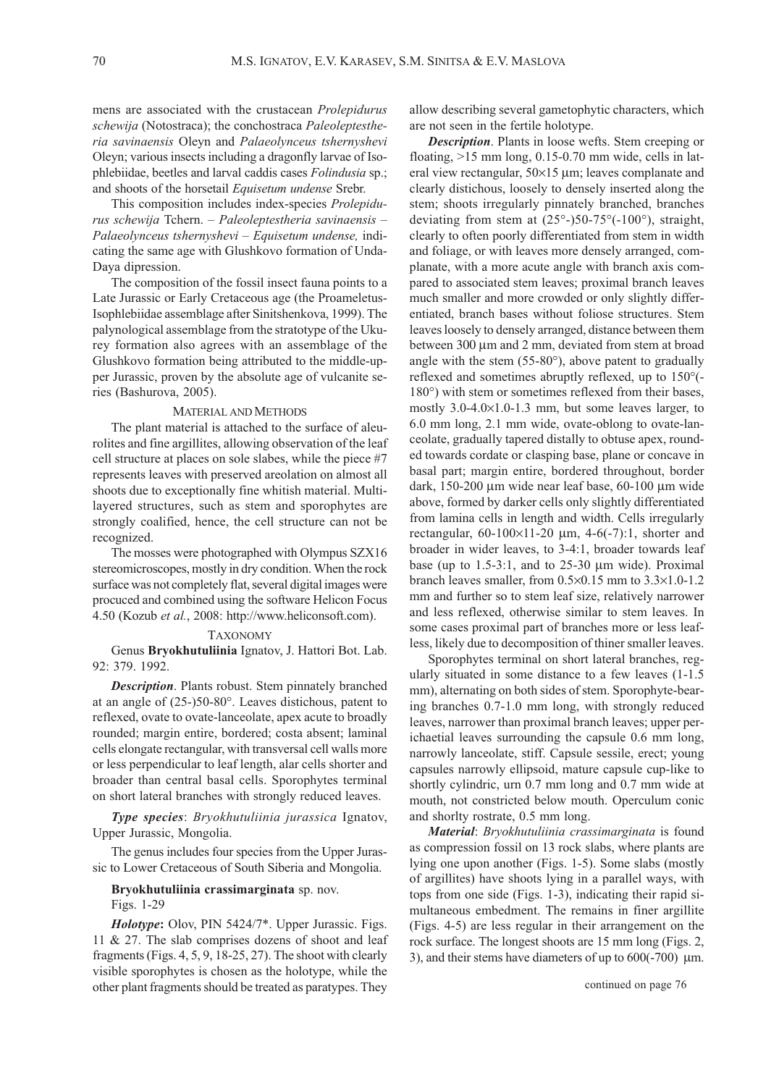mens are associated with the crustacean Prolepidurus schewija (Notostraca); the conchostraca Paleoleptestheria savinaensis Oleyn and Palaeolynceus tshernyshevi Oleyn; various insects including a dragonfly larvae of Isophlebiidae, beetles and larval caddis cases Folindusia sp.; and shoots of the horsetail Equisetum undense Srebr.

This composition includes index-species Prolepidurus schewija Tchern. – Paleoleptestheria savinaensis – Palaeolynceus tshernyshevi – Equisetum undense, indicating the same age with Glushkovo formation of Unda-Daya dipression.

The composition of the fossil insect fauna points to a Late Jurassic or Early Cretaceous age (the Proameletus-Isophlebiidae assemblage after Sinitshenkova, 1999). The palynological assemblage from the stratotype of the Ukurey formation also agrees with an assemblage of the Glushkovo formation being attributed to the middle-upper Jurassic, proven by the absolute age of vulcanite series (Bashurova, 2005).

# MATERIAL AND METHODS

The plant material is attached to the surface of aleurolites and fine argillites, allowing observation of the leaf cell structure at places on sole slabes, while the piece #7 represents leaves with preserved areolation on almost all shoots due to exceptionally fine whitish material. Multilayered structures, such as stem and sporophytes are strongly coalified, hence, the cell structure can not be recognized.

The mosses were photographed with Olympus SZX16 stereomicroscopes, mostly in dry condition. When the rock surface was not completely flat, several digital images were procuced and combined using the software Helicon Focus 4.50 (Kozub et al., 2008: http://www.heliconsoft.com).

## TAXONOMY

Genus Bryokhutuliinia Ignatov, J. Hattori Bot. Lab. 92: 379. 1992.

**Description**. Plants robust. Stem pinnately branched at an angle of (25-)50-80°. Leaves distichous, patent to reflexed, ovate to ovate-lanceolate, apex acute to broadly rounded; margin entire, bordered; costa absent; laminal cells elongate rectangular, with transversal cell walls more or less perpendicular to leaf length, alar cells shorter and broader than central basal cells. Sporophytes terminal on short lateral branches with strongly reduced leaves.

Type species: Bryokhutuliinia jurassica Ignatov, Upper Jurassic, Mongolia.

The genus includes four species from the Upper Jurassic to Lower Cretaceous of South Siberia and Mongolia.

# Bryokhutuliinia crassimarginata sp. nov.

Figs. 1-29

Holotype: Olov, PIN 5424/7\*. Upper Jurassic. Figs. 11 & 27. The slab comprises dozens of shoot and leaf fragments (Figs. 4, 5, 9, 18-25, 27). The shoot with clearly visible sporophytes is chosen as the holotype, while the other plant fragments should be treated as paratypes. They

allow describing several gametophytic characters, which are not seen in the fertile holotype.

Description. Plants in loose wefts. Stem creeping or floating, >15 mm long, 0.15-0.70 mm wide, cells in lateral view rectangular, 50×15 μm; leaves complanate and clearly distichous, loosely to densely inserted along the stem; shoots irregularly pinnately branched, branches deviating from stem at  $(25^{\circ}$ - $)50$ - $75^{\circ}$  $(-100^{\circ})$ , straight, clearly to often poorly differentiated from stem in width and foliage, or with leaves more densely arranged, complanate, with a more acute angle with branch axis compared to associated stem leaves; proximal branch leaves much smaller and more crowded or only slightly differentiated, branch bases without foliose structures. Stem leaves loosely to densely arranged, distance between them between 300 μm and 2 mm, deviated from stem at broad angle with the stem (55-80°), above patent to gradually reflexed and sometimes abruptly reflexed, up to 150°(- 180°) with stem or sometimes reflexed from their bases, mostly 3.0-4.0×1.0-1.3 mm, but some leaves larger, to 6.0 mm long, 2.1 mm wide, ovate-oblong to ovate-lanceolate, gradually tapered distally to obtuse apex, rounded towards cordate or clasping base, plane or concave in basal part; margin entire, bordered throughout, border dark, 150-200 μm wide near leaf base, 60-100 μm wide above, formed by darker cells only slightly differentiated from lamina cells in length and width. Cells irregularly rectangular, 60-100×11-20 μm, 4-6(-7):1, shorter and broader in wider leaves, to 3-4:1, broader towards leaf base (up to 1.5-3:1, and to 25-30 μm wide). Proximal branch leaves smaller, from 0.5×0.15 mm to 3.3×1.0-1.2 mm and further so to stem leaf size, relatively narrower and less reflexed, otherwise similar to stem leaves. In some cases proximal part of branches more or less leafless, likely due to decomposition of thiner smaller leaves.

Sporophytes terminal on short lateral branches, regularly situated in some distance to a few leaves (1-1.5 mm), alternating on both sides of stem. Sporophyte-bearing branches 0.7-1.0 mm long, with strongly reduced leaves, narrower than proximal branch leaves; upper perichaetial leaves surrounding the capsule 0.6 mm long, narrowly lanceolate, stiff. Capsule sessile, erect; young capsules narrowly ellipsoid, mature capsule cup-like to shortly cylindric, urn 0.7 mm long and 0.7 mm wide at mouth, not constricted below mouth. Operculum conic and shorlty rostrate, 0.5 mm long.

Material: Bryokhutuliinia crassimarginata is found as compression fossil on 13 rock slabs, where plants are lying one upon another (Figs. 1-5). Some slabs (mostly of argillites) have shoots lying in a parallel ways, with tops from one side (Figs. 1-3), indicating their rapid simultaneous embedment. The remains in finer argillite (Figs. 4-5) are less regular in their arrangement on the rock surface. The longest shoots are 15 mm long (Figs. 2, 3), and their stems have diameters of up to 600(-700) μm.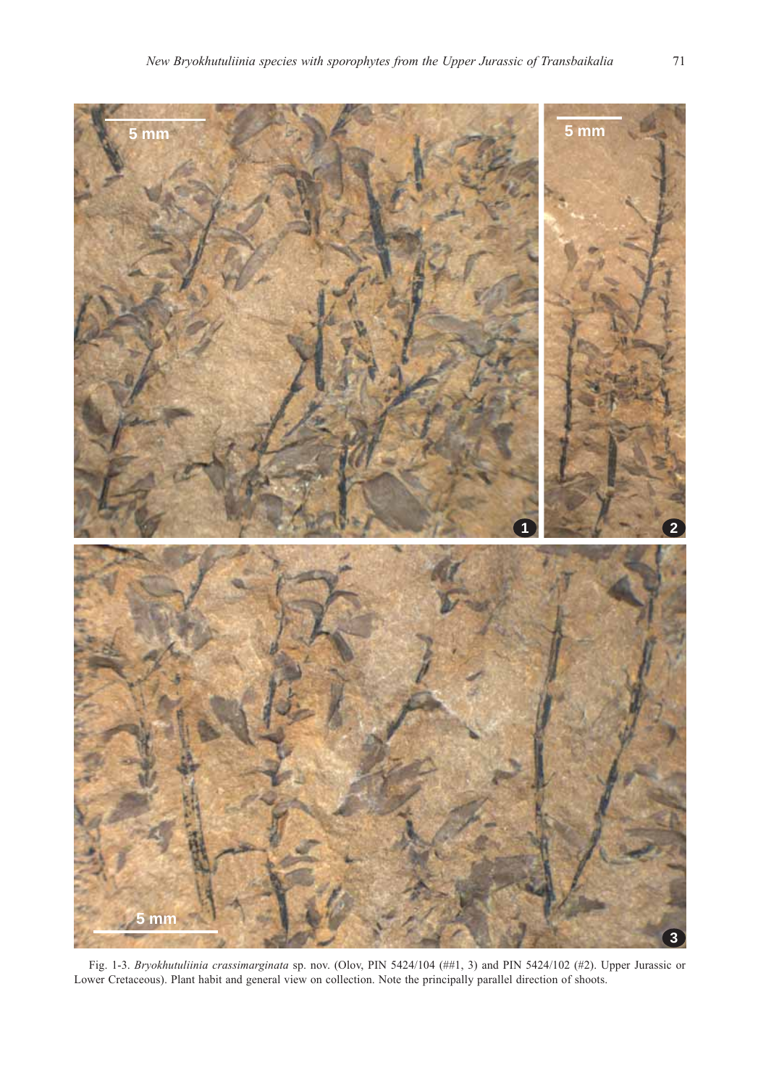

Fig. 1-3. Bryokhutuliinia crassimarginata sp. nov. (Olov, PIN 5424/104 (##1, 3) and PIN 5424/102 (#2). Upper Jurassic or Lower Cretaceous). Plant habit and general view on collection. Note the principally parallel direction of shoots.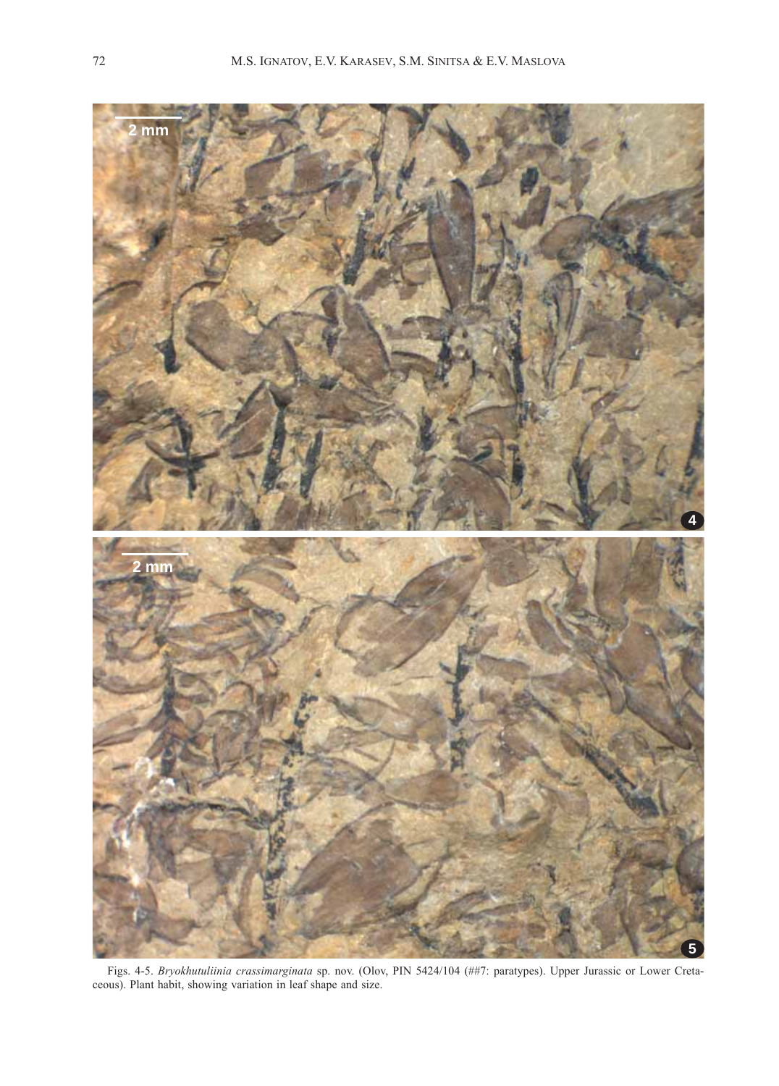

Figs. 4-5. Bryokhutuliinia crassimarginata sp. nov. (Olov, PIN 5424/104 (##7: paratypes). Upper Jurassic or Lower Cretaceous). Plant habit, showing variation in leaf shape and size.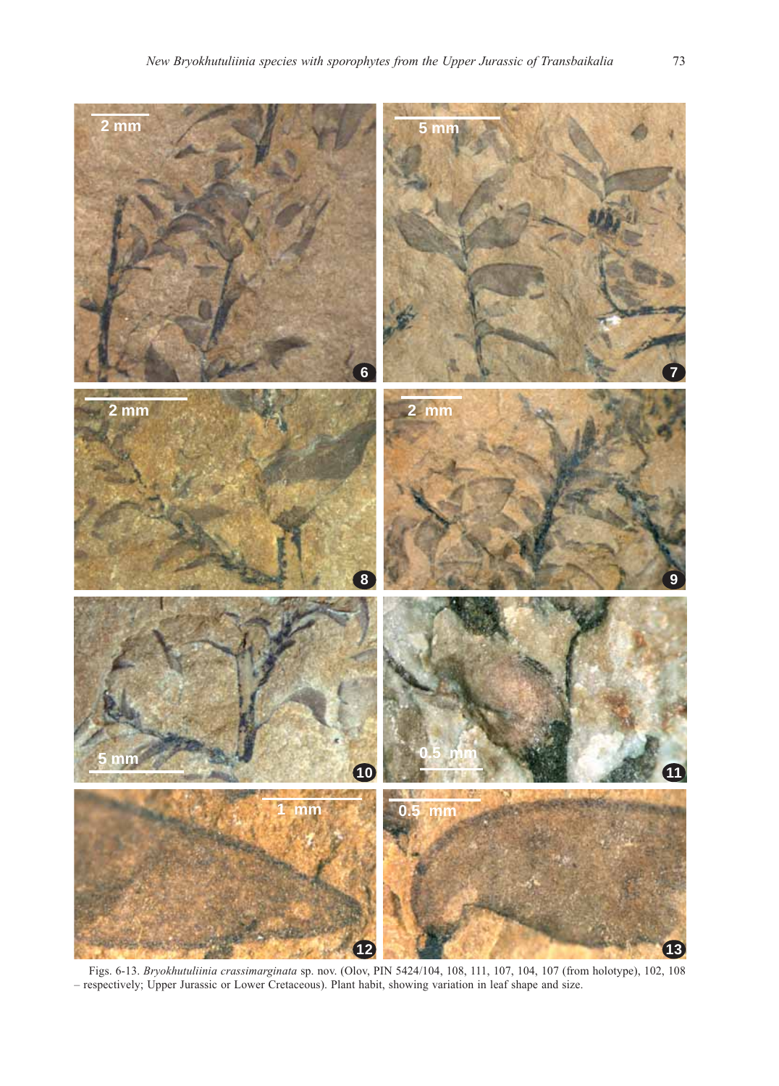

Figs. 6-13. Bryokhutuliinia crassimarginata sp. nov. (Olov, PIN 5424/104, 108, 111, 107, 104, 107 (from holotype), 102, 108 – respectively; Upper Jurassic or Lower Cretaceous). Plant habit, showing variation in leaf shape and size.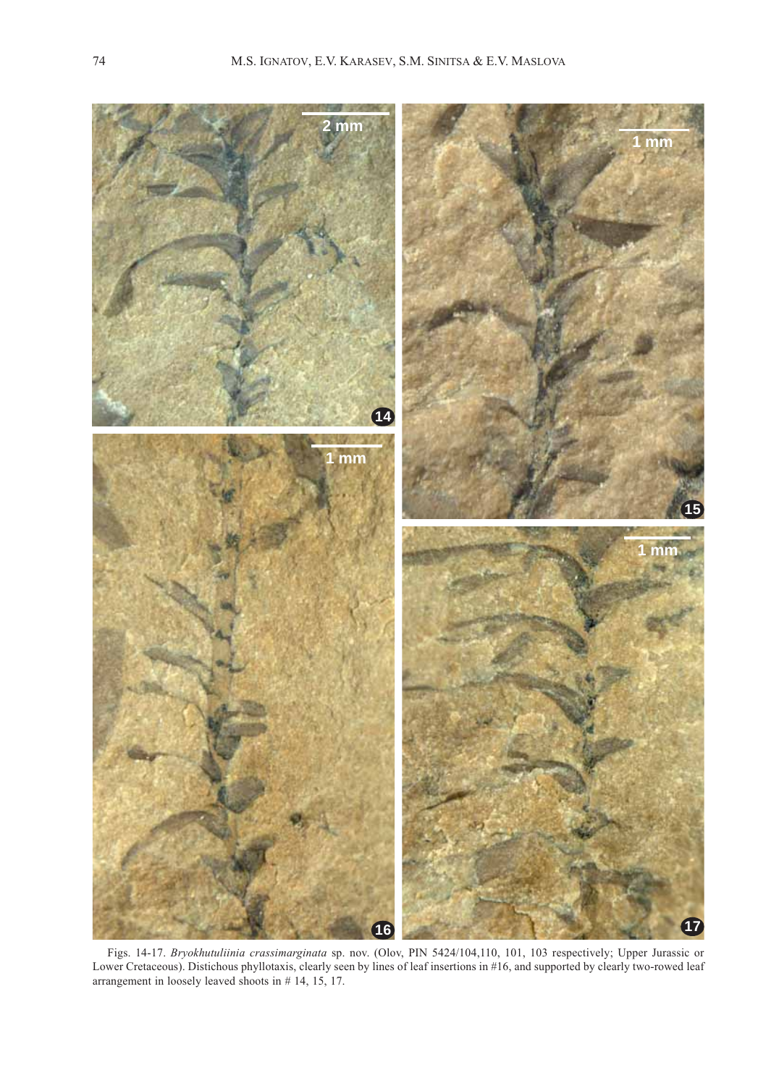

Figs. 14-17. Bryokhutuliinia crassimarginata sp. nov. (Olov, PIN 5424/104,110, 101, 103 respectively; Upper Jurassic or Lower Cretaceous). Distichous phyllotaxis, clearly seen by lines of leaf insertions in #16, and supported by clearly two-rowed leaf arrangement in loosely leaved shoots in # 14, 15, 17.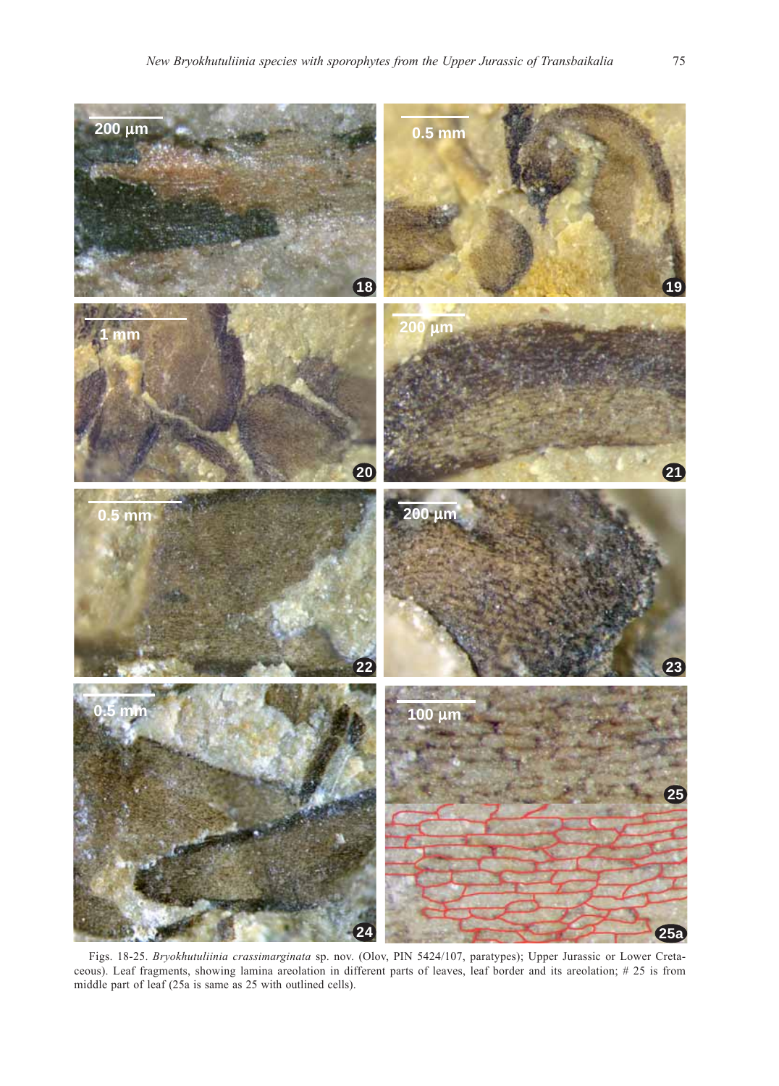

Figs. 18-25. Bryokhutuliinia crassimarginata sp. nov. (Olov, PIN 5424/107, paratypes); Upper Jurassic or Lower Cretaceous). Leaf fragments, showing lamina areolation in different parts of leaves, leaf border and its areolation; # 25 is from middle part of leaf (25a is same as 25 with outlined cells).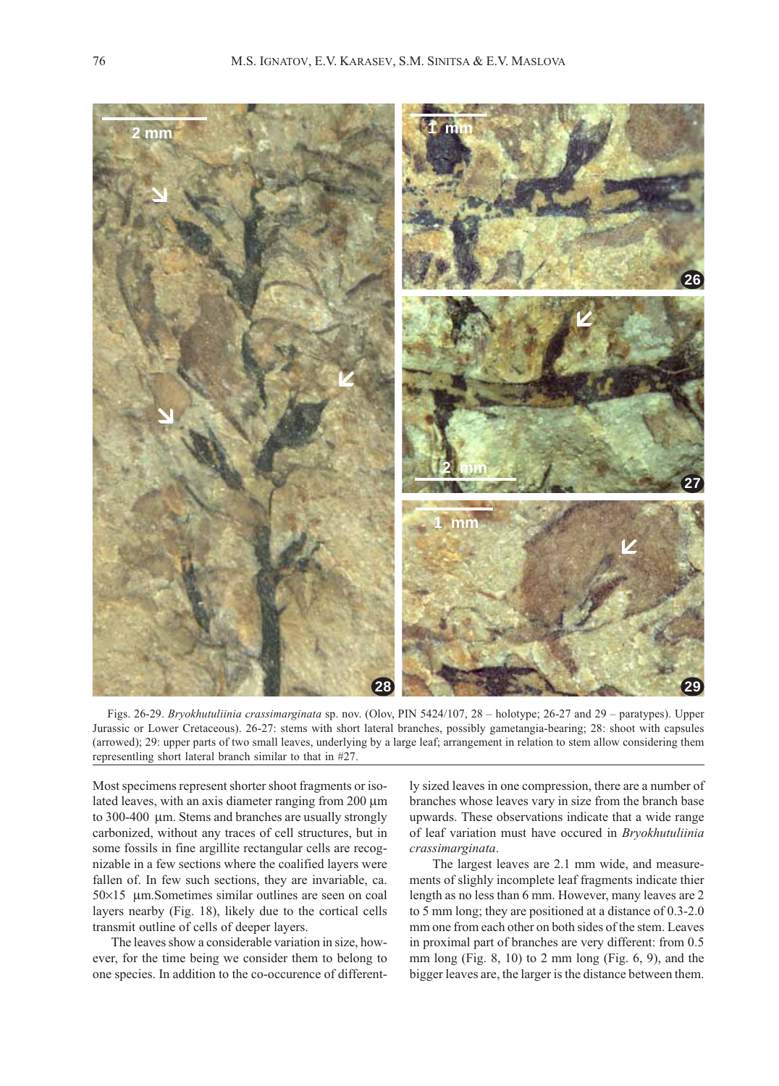

Figs. 26-29. Bryokhutuliinia crassimarginata sp. nov. (Olov, PIN 5424/107, 28 – holotype; 26-27 and 29 – paratypes). Upper Jurassic or Lower Cretaceous). 26-27: stems with short lateral branches, possibly gametangia-bearing; 28: shoot with capsules (arrowed); 29: upper parts of two small leaves, underlying by a large leaf; arrangement in relation to stem allow considering them representling short lateral branch similar to that in #27.

Most specimens represent shorter shoot fragments or isolated leaves, with an axis diameter ranging from 200 μm to 300-400 μm. Stems and branches are usually strongly carbonized, without any traces of cell structures, but in some fossils in fine argillite rectangular cells are recognizable in a few sections where the coalified layers were fallen of. In few such sections, they are invariable, ca. 50×15 μm.Sometimes similar outlines are seen on coal layers nearby (Fig. 18), likely due to the cortical cells transmit outline of cells of deeper layers.

The leaves show a considerable variation in size, however, for the time being we consider them to belong to one species. In addition to the co-occurence of differently sized leaves in one compression, there are a number of branches whose leaves vary in size from the branch base upwards. These observations indicate that a wide range of leaf variation must have occured in Bryokhutuliinia crassimarginata.

 The largest leaves are 2.1 mm wide, and measurements of slighly incomplete leaf fragments indicate thier length as no less than 6 mm. However, many leaves are 2 to 5 mm long; they are positioned at a distance of 0.3-2.0 mm one from each other on both sides of the stem. Leaves in proximal part of branches are very different: from 0.5 mm long (Fig. 8, 10) to 2 mm long (Fig. 6, 9), and the bigger leaves are, the larger is the distance between them.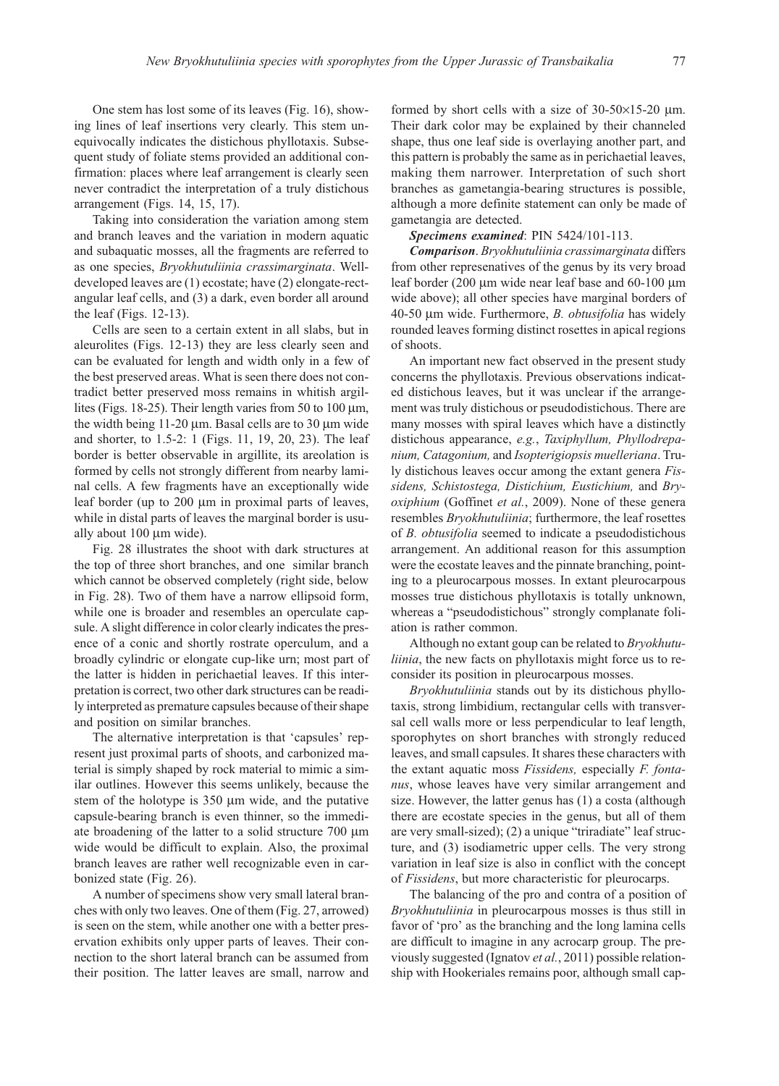One stem has lost some of its leaves (Fig. 16), showing lines of leaf insertions very clearly. This stem unequivocally indicates the distichous phyllotaxis. Subsequent study of foliate stems provided an additional confirmation: places where leaf arrangement is clearly seen never contradict the interpretation of a truly distichous arrangement (Figs. 14, 15, 17).

Taking into consideration the variation among stem and branch leaves and the variation in modern aquatic and subaquatic mosses, all the fragments are referred to as one species, Bryokhutuliinia crassimarginata. Welldeveloped leaves are (1) ecostate; have (2) elongate-rectangular leaf cells, and (3) a dark, even border all around the leaf (Figs. 12-13).

Cells are seen to a certain extent in all slabs, but in aleurolites (Figs. 12-13) they are less clearly seen and can be evaluated for length and width only in a few of the best preserved areas. What is seen there does not contradict better preserved moss remains in whitish argillites (Figs. 18-25). Their length varies from 50 to 100 μm, the width being 11-20 μm. Basal cells are to 30 μm wide and shorter, to 1.5-2: 1 (Figs. 11, 19, 20, 23). The leaf border is better observable in argillite, its areolation is formed by cells not strongly different from nearby laminal cells. A few fragments have an exceptionally wide leaf border (up to 200 μm in proximal parts of leaves, while in distal parts of leaves the marginal border is usually about 100 μm wide).

Fig. 28 illustrates the shoot with dark structures at the top of three short branches, and one similar branch which cannot be observed completely (right side, below in Fig. 28). Two of them have a narrow ellipsoid form, while one is broader and resembles an operculate capsule. A slight difference in color clearly indicates the presence of a conic and shortly rostrate operculum, and a broadly cylindric or elongate cup-like urn; most part of the latter is hidden in perichaetial leaves. If this interpretation is correct, two other dark structures can be readily interpreted as premature capsules because of their shape and position on similar branches.

The alternative interpretation is that 'capsules' represent just proximal parts of shoots, and carbonized material is simply shaped by rock material to mimic a similar outlines. However this seems unlikely, because the stem of the holotype is 350 μm wide, and the putative capsule-bearing branch is even thinner, so the immediate broadening of the latter to a solid structure 700 μm wide would be difficult to explain. Also, the proximal branch leaves are rather well recognizable even in carbonized state (Fig. 26).

A number of specimens show very small lateral branches with only two leaves. One of them (Fig. 27, arrowed) is seen on the stem, while another one with a better preservation exhibits only upper parts of leaves. Their connection to the short lateral branch can be assumed from their position. The latter leaves are small, narrow and

formed by short cells with a size of 30-50×15-20 μm. Their dark color may be explained by their channeled shape, thus one leaf side is overlaying another part, and this pattern is probably the same as in perichaetial leaves, making them narrower. Interpretation of such short branches as gametangia-bearing structures is possible, although a more definite statement can only be made of gametangia are detected.

Specimens examined: PIN 5424/101-113.

Comparison. Bryokhutuliinia crassimarginata differs from other represenatives of the genus by its very broad leaf border (200 μm wide near leaf base and 60-100 μm wide above); all other species have marginal borders of 40-50 μm wide. Furthermore, B. obtusifolia has widely rounded leaves forming distinct rosettes in apical regions of shoots.

An important new fact observed in the present study concerns the phyllotaxis. Previous observations indicated distichous leaves, but it was unclear if the arrangement was truly distichous or pseudodistichous. There are many mosses with spiral leaves which have a distinctly distichous appearance, e.g., Taxiphyllum, Phyllodrepanium, Catagonium, and Isopterigiopsis muelleriana. Truly distichous leaves occur among the extant genera Fissidens, Schistostega, Distichium, Eustichium, and Bryoxiphium (Goffinet et al., 2009). None of these genera resembles Bryokhutuliinia; furthermore, the leaf rosettes of B. obtusifolia seemed to indicate a pseudodistichous arrangement. An additional reason for this assumption were the ecostate leaves and the pinnate branching, pointing to a pleurocarpous mosses. In extant pleurocarpous mosses true distichous phyllotaxis is totally unknown, whereas a "pseudodistichous" strongly complanate foliation is rather common.

Although no extant goup can be related to Bryokhutuliinia, the new facts on phyllotaxis might force us to reconsider its position in pleurocarpous mosses.

Bryokhutuliinia stands out by its distichous phyllotaxis, strong limbidium, rectangular cells with transversal cell walls more or less perpendicular to leaf length, sporophytes on short branches with strongly reduced leaves, and small capsules. It shares these characters with the extant aquatic moss Fissidens, especially F. fontanus, whose leaves have very similar arrangement and size. However, the latter genus has (1) a costa (although there are ecostate species in the genus, but all of them are very small-sized); (2) a unique "triradiate" leaf structure, and (3) isodiametric upper cells. The very strong variation in leaf size is also in conflict with the concept of Fissidens, but more characteristic for pleurocarps.

The balancing of the pro and contra of a position of Bryokhutuliinia in pleurocarpous mosses is thus still in favor of 'pro' as the branching and the long lamina cells are difficult to imagine in any acrocarp group. The previously suggested (Ignatov et al., 2011) possible relationship with Hookeriales remains poor, although small cap